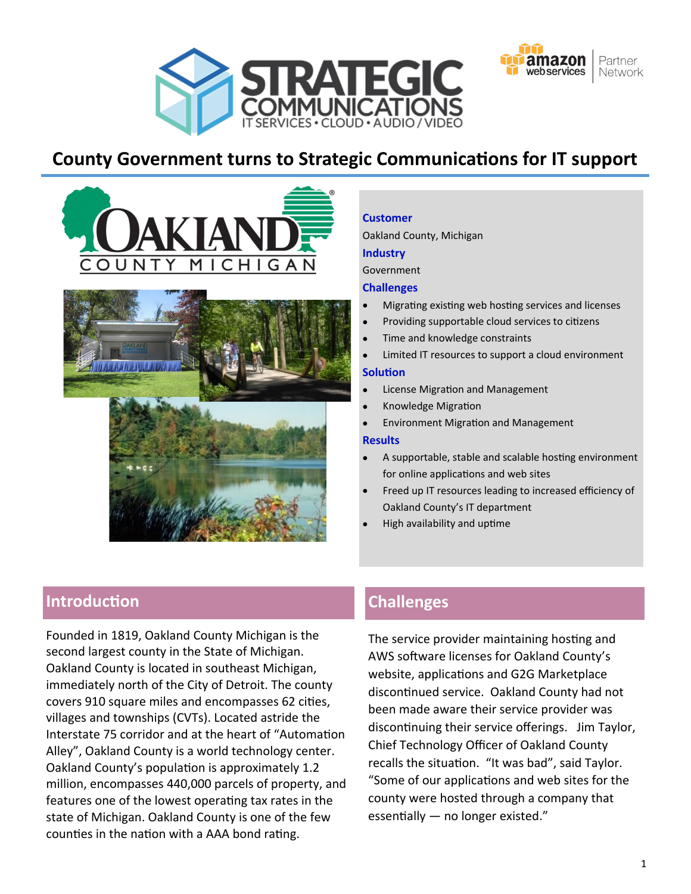



# **County Government turns to Strategic Communications for IT support**





#### **Customer**

Oakland County, Michigan

#### **Industry**

Government

#### **Challenges**

- Migrating existing web hosting services and licenses
- Providing supportable cloud services to citizens
- Time and knowledge constraints
- Limited IT resources to support a cloud environment

#### **Solution**

- License Migration and Management
- Knowledge Migration
- Environment Migration and Management

#### **Results**

- A supportable, stable and scalable hosting environment for online applications and web sites
- Freed up IT resources leading to increased efficiency of Oakland County's IT department
- High availability and uptime

## **Introduction**

Founded in 1819, Oakland County Michigan is the second largest county in the State of Michigan. Oakland County is located in southeast Michigan, immediately north of the City of Detroit. The county covers 910 square miles and encompasses 62 cities, villages and townships (CVTs). Located astride the Interstate 75 corridor and at the heart of "Automation Alley", Oakland County is a world technology center. Oakland County's population is approximately 1.2 million, encompasses 440,000 parcels of property, and features one of the lowest operating tax rates in the state of Michigan. Oakland County is one of the few counties in the nation with a AAA bond rating.

### **Challenges**

The service provider maintaining hosting and AWS software licenses for Oakland County's website, applications and G2G Marketplace discontinued service. Oakland County had not been made aware their service provider was discontinuing their service offerings. Jim Taylor, Chief Technology Officer of Oakland County recalls the situation. "It was bad", said Taylor. "Some of our applications and web sites for the county were hosted through a company that essentially — no longer existed."